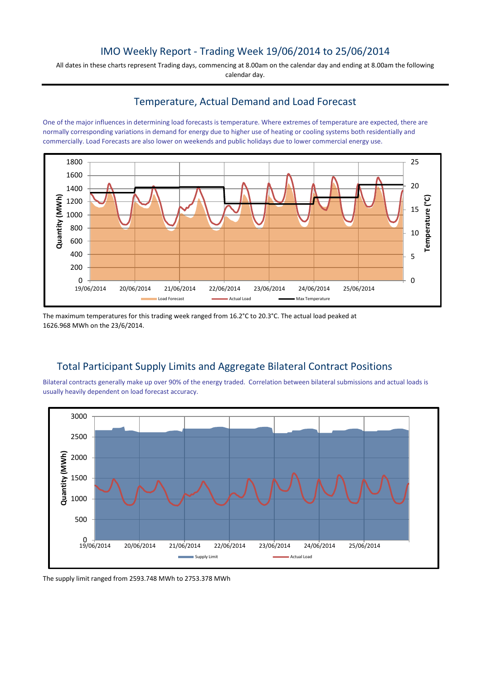### IMO Weekly Report - Trading Week 19/06/2014 to 25/06/2014

All dates in these charts represent Trading days, commencing at 8.00am on the calendar day and ending at 8.00am the following calendar day.

#### Temperature, Actual Demand and Load Forecast

One of the major influences in determining load forecasts is temperature. Where extremes of temperature are expected, there are normally corresponding variations in demand for energy due to higher use of heating or cooling systems both residentially and commercially. Load Forecasts are also lower on weekends and public holidays due to lower commercial energy use.



The maximum temperatures for this trading week ranged from 16.2°C to 20.3°C. The actual load peaked at 1626.968 MWh on the 23/6/2014.

# Total Participant Supply Limits and Aggregate Bilateral Contract Positions

Bilateral contracts generally make up over 90% of the energy traded. Correlation between bilateral submissions and actual loads is usually heavily dependent on load forecast accuracy.



The supply limit ranged from 2593.748 MWh to 2753.378 MWh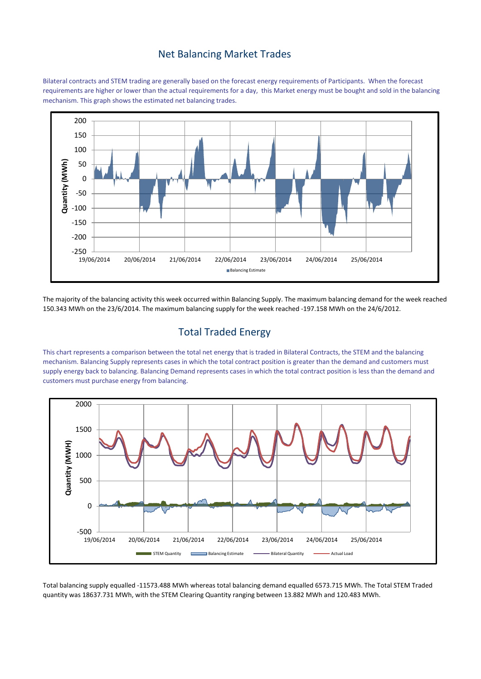#### Net Balancing Market Trades

Bilateral contracts and STEM trading are generally based on the forecast energy requirements of Participants. When the forecast requirements are higher or lower than the actual requirements for a day, this Market energy must be bought and sold in the balancing mechanism. This graph shows the estimated net balancing trades.



The majority of the balancing activity this week occurred within Balancing Supply. The maximum balancing demand for the week reached 150.343 MWh on the 23/6/2014. The maximum balancing supply for the week reached -197.158 MWh on the 24/6/2012.

## Total Traded Energy

This chart represents a comparison between the total net energy that is traded in Bilateral Contracts, the STEM and the balancing mechanism. Balancing Supply represents cases in which the total contract position is greater than the demand and customers must supply energy back to balancing. Balancing Demand represents cases in which the total contract position is less than the demand and customers must purchase energy from balancing.



Total balancing supply equalled -11573.488 MWh whereas total balancing demand equalled 6573.715 MWh. The Total STEM Traded quantity was 18637.731 MWh, with the STEM Clearing Quantity ranging between 13.882 MWh and 120.483 MWh.